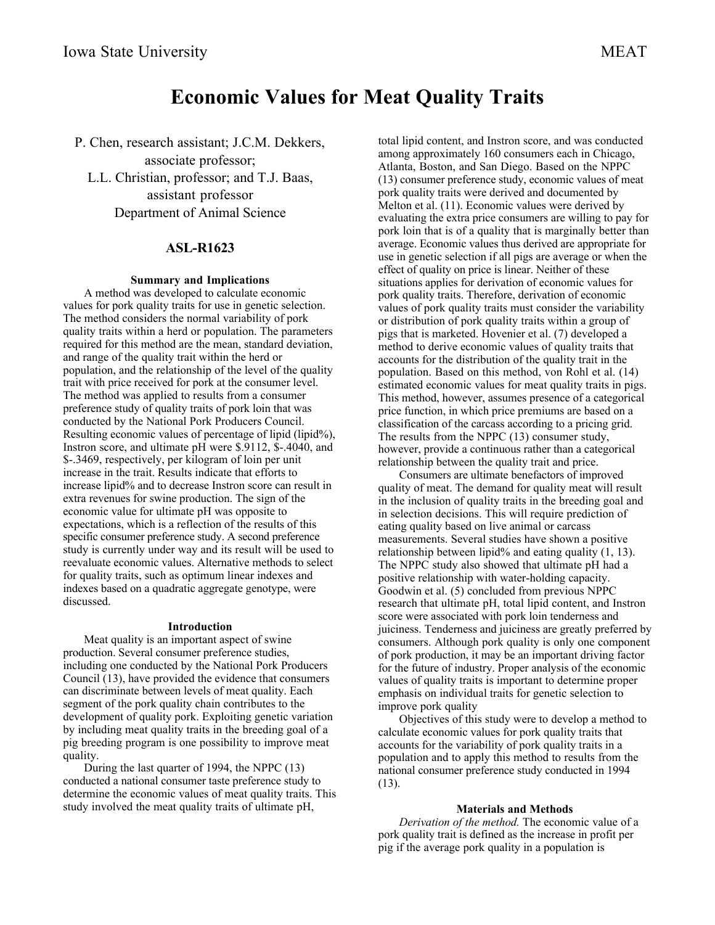# **Economic Values for Meat Quality Traits**

P. Chen, research assistant; J.C.M. Dekkers, associate professor; L.L. Christian, professor; and T.J. Baas, assistant professor Department of Animal Science

# **ASL-R1623**

## **Summary and Implications**

A method was developed to calculate economic values for pork quality traits for use in genetic selection. The method considers the normal variability of pork quality traits within a herd or population. The parameters required for this method are the mean, standard deviation, and range of the quality trait within the herd or population, and the relationship of the level of the quality trait with price received for pork at the consumer level. The method was applied to results from a consumer preference study of quality traits of pork loin that was conducted by the National Pork Producers Council. Resulting economic values of percentage of lipid (lipid%), Instron score, and ultimate pH were \$.9112, \$-.4040, and \$-.3469, respectively, per kilogram of loin per unit increase in the trait. Results indicate that efforts to increase lipid% and to decrease Instron score can result in extra revenues for swine production. The sign of the economic value for ultimate pH was opposite to expectations, which is a reflection of the results of this specific consumer preference study. A second preference study is currently under way and its result will be used to reevaluate economic values. Alternative methods to select for quality traits, such as optimum linear indexes and indexes based on a quadratic aggregate genotype, were discussed.

#### **Introduction**

Meat quality is an important aspect of swine production. Several consumer preference studies, including one conducted by the National Pork Producers Council (13), have provided the evidence that consumers can discriminate between levels of meat quality. Each segment of the pork quality chain contributes to the development of quality pork. Exploiting genetic variation by including meat quality traits in the breeding goal of a pig breeding program is one possibility to improve meat quality.

During the last quarter of 1994, the NPPC (13) conducted a national consumer taste preference study to determine the economic values of meat quality traits. This study involved the meat quality traits of ultimate pH,

total lipid content, and Instron score, and was conducted among approximately 160 consumers each in Chicago, Atlanta, Boston, and San Diego. Based on the NPPC (13) consumer preference study, economic values of meat pork quality traits were derived and documented by Melton et al. (11). Economic values were derived by evaluating the extra price consumers are willing to pay for pork loin that is of a quality that is marginally better than average. Economic values thus derived are appropriate for use in genetic selection if all pigs are average or when the effect of quality on price is linear. Neither of these situations applies for derivation of economic values for pork quality traits. Therefore, derivation of economic values of pork quality traits must consider the variability or distribution of pork quality traits within a group of pigs that is marketed. Hovenier et al. (7) developed a method to derive economic values of quality traits that accounts for the distribution of the quality trait in the population. Based on this method, von Rohl et al. (14) estimated economic values for meat quality traits in pigs. This method, however, assumes presence of a categorical price function, in which price premiums are based on a classification of the carcass according to a pricing grid. The results from the NPPC (13) consumer study, however, provide a continuous rather than a categorical relationship between the quality trait and price.

Consumers are ultimate benefactors of improved quality of meat. The demand for quality meat will result in the inclusion of quality traits in the breeding goal and in selection decisions. This will require prediction of eating quality based on live animal or carcass measurements. Several studies have shown a positive relationship between lipid% and eating quality (1, 13). The NPPC study also showed that ultimate pH had a positive relationship with water-holding capacity. Goodwin et al. (5) concluded from previous NPPC research that ultimate pH, total lipid content, and Instron score were associated with pork loin tenderness and juiciness. Tenderness and juiciness are greatly preferred by consumers. Although pork quality is only one component of pork production, it may be an important driving factor for the future of industry. Proper analysis of the economic values of quality traits is important to determine proper emphasis on individual traits for genetic selection to improve pork quality

Objectives of this study were to develop a method to calculate economic values for pork quality traits that accounts for the variability of pork quality traits in a population and to apply this method to results from the national consumer preference study conducted in 1994 (13).

# **Materials and Methods**

*Derivation of the method.* The economic value of a pork quality trait is defined as the increase in profit per pig if the average pork quality in a population is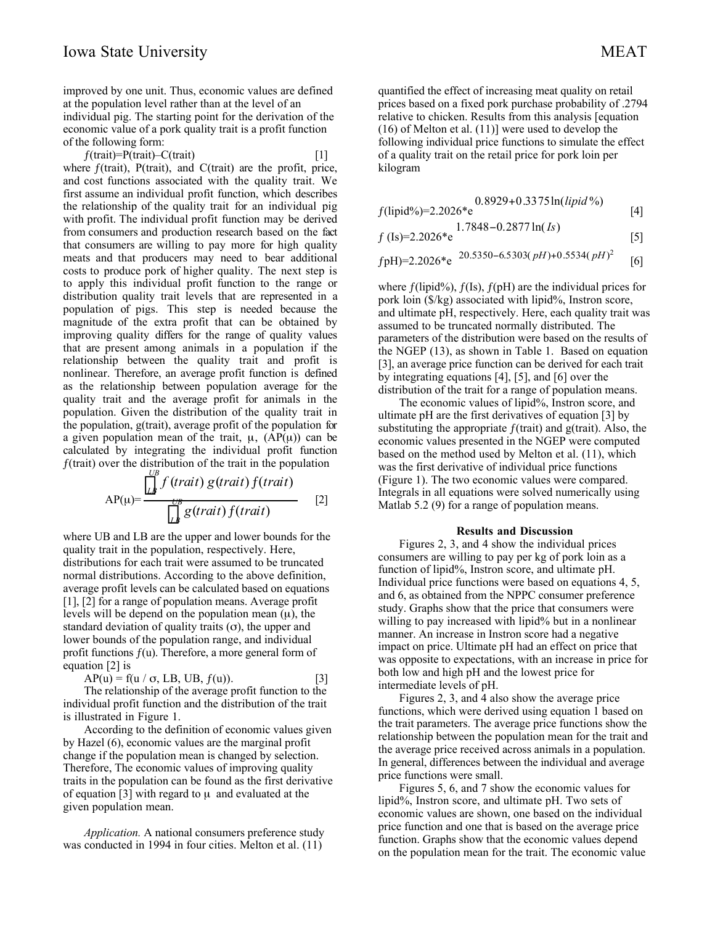improved by one unit. Thus, economic values are defined at the population level rather than at the level of an individual pig. The starting point for the derivation of the economic value of a pork quality trait is a profit function of the following form:

 $f(\text{trait})=P(\text{ trait})-C(\text{ trait})$  [1] where  $f$ (trait), P(trait), and C(trait) are the profit, price, and cost functions associated with the quality trait. We first assume an individual profit function, which describes the relationship of the quality trait for an individual pig with profit. The individual profit function may be derived from consumers and production research based on the fact that consumers are willing to pay more for high quality meats and that producers may need to bear additional costs to produce pork of higher quality. The next step is to apply this individual profit function to the range or distribution quality trait levels that are represented in a population of pigs. This step is needed because the magnitude of the extra profit that can be obtained by improving quality differs for the range of quality values that are present among animals in a population if the relationship between the quality trait and profit is nonlinear. Therefore, an average profit function is defined as the relationship between population average for the quality trait and the average profit for animals in the population. Given the distribution of the quality trait in the population, g(trait), average profit of the population for a given population mean of the trait,  $\mu$ ,  $(AP(\mu))$  can be calculated by integrating the individual profit function  $f$ (trait) over the distribution of the trait in the population

$$
AP(\mu) = \frac{\int_{LB}^{UB} f(trait) g(trait) f(trait)}{\int_{LB}^{UB} g(trait) f(trait)}
$$
 [2]

where UB and LB are the upper and lower bounds for the quality trait in the population, respectively. Here, distributions for each trait were assumed to be truncated normal distributions. According to the above definition, average profit levels can be calculated based on equations [1], [2] for a range of population means. Average profit levels will be depend on the population mean  $(u)$ , the standard deviation of quality traits  $(\sigma)$ , the upper and lower bounds of the population range, and individual profit functions  $f(u)$ . Therefore, a more general form of equation [2] is

 $AP(u) = f(u / \sigma, LB, UB, f(u)).$  [3] The relationship of the average profit function to the individual profit function and the distribution of the trait

is illustrated in Figure 1. According to the definition of economic values given by Hazel (6), economic values are the marginal profit change if the population mean is changed by selection. Therefore, The economic values of improving quality traits in the population can be found as the first derivative of equation [3] with regard to  $\mu$  and evaluated at the given population mean.

*Application.* A national consumers preference study was conducted in 1994 in four cities. Melton et al. (11)

quantified the effect of increasing meat quality on retail prices based on a fixed pork purchase probability of .2794 relative to chicken. Results from this analysis [equation (16) of Melton et al. (11)] were used to develop the following individual price functions to simulate the effect of a quality trait on the retail price for pork loin per kilogram

| $0.8929+0.3375\ln(lipid\%)$<br>$f(lipid\%) = 2.2026*e$ |  |  |  |
|--------------------------------------------------------|--|--|--|
| $1.7848 - 0.2877$ ln( Is)                              |  |  |  |

$$
f
$$
 (Is)=2.2026<sup>\*</sup>e<sup>-1.76+6-0.2677 m(xs)</sup> [5]

 $f$ pH)=2.2026\*e <sup>20.5350–6.5303(pH)+0.5534(pH)<sup>2</sup> [6]</sup>

where  $f(lipid\%)$ ,  $f(Is)$ ,  $f(pH)$  are the individual prices for pork loin (\$/kg) associated with lipid%, Instron score, and ultimate pH, respectively. Here, each quality trait was assumed to be truncated normally distributed. The parameters of the distribution were based on the results of the NGEP (13), as shown in Table 1. Based on equation [3], an average price function can be derived for each trait by integrating equations [4], [5], and [6] over the distribution of the trait for a range of population means.

The economic values of lipid%, Instron score, and ultimate pH are the first derivatives of equation [3] by substituting the appropriate  $f(\text{trait})$  and  $g(\text{trait})$ . Also, the economic values presented in the NGEP were computed based on the method used by Melton et al. (11), which was the first derivative of individual price functions (Figure 1). The two economic values were compared. Integrals in all equations were solved numerically using Matlab 5.2 (9) for a range of population means.

### **Results and Discussion**

Figures 2, 3, and 4 show the individual prices consumers are willing to pay per kg of pork loin as a function of lipid%, Instron score, and ultimate pH. Individual price functions were based on equations 4, 5, and 6, as obtained from the NPPC consumer preference study. Graphs show that the price that consumers were willing to pay increased with lipid% but in a nonlinear manner. An increase in Instron score had a negative impact on price. Ultimate pH had an effect on price that was opposite to expectations, with an increase in price for both low and high pH and the lowest price for intermediate levels of pH.

Figures 2, 3, and 4 also show the average price functions, which were derived using equation 1 based on the trait parameters. The average price functions show the relationship between the population mean for the trait and the average price received across animals in a population. In general, differences between the individual and average price functions were small.

Figures 5, 6, and 7 show the economic values for lipid%, Instron score, and ultimate pH. Two sets of economic values are shown, one based on the individual price function and one that is based on the average price function. Graphs show that the economic values depend on the population mean for the trait. The economic value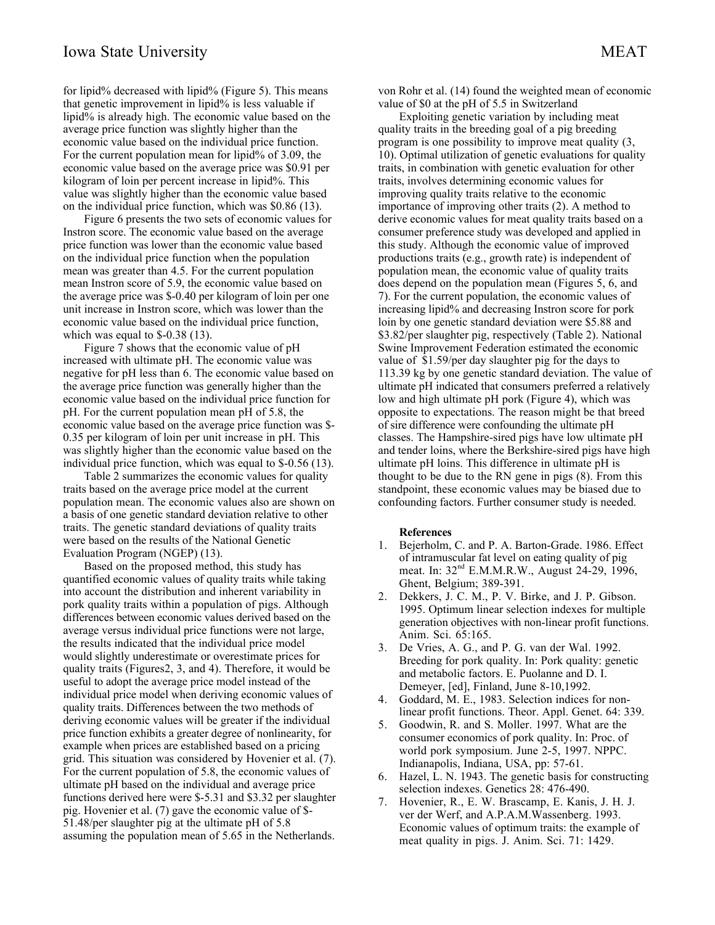for lipid% decreased with lipid% (Figure 5). This means that genetic improvement in lipid% is less valuable if lipid% is already high. The economic value based on the average price function was slightly higher than the economic value based on the individual price function. For the current population mean for lipid% of 3.09, the economic value based on the average price was \$0.91 per kilogram of loin per percent increase in lipid%. This value was slightly higher than the economic value based on the individual price function, which was \$0.86 (13).

Figure 6 presents the two sets of economic values for Instron score. The economic value based on the average price function was lower than the economic value based on the individual price function when the population mean was greater than 4.5. For the current population mean Instron score of 5.9, the economic value based on the average price was \$-0.40 per kilogram of loin per one unit increase in Instron score, which was lower than the economic value based on the individual price function, which was equal to \$-0.38 (13).

Figure 7 shows that the economic value of pH increased with ultimate pH. The economic value was negative for pH less than 6. The economic value based on the average price function was generally higher than the economic value based on the individual price function for pH. For the current population mean pH of 5.8, the economic value based on the average price function was \$- 0.35 per kilogram of loin per unit increase in pH. This was slightly higher than the economic value based on the individual price function, which was equal to \$-0.56 (13).

Table 2 summarizes the economic values for quality traits based on the average price model at the current population mean. The economic values also are shown on a basis of one genetic standard deviation relative to other traits. The genetic standard deviations of quality traits were based on the results of the National Genetic Evaluation Program (NGEP) (13).

Based on the proposed method, this study has quantified economic values of quality traits while taking into account the distribution and inherent variability in pork quality traits within a population of pigs. Although differences between economic values derived based on the average versus individual price functions were not large, the results indicated that the individual price model would slightly underestimate or overestimate prices for quality traits (Figures2, 3, and 4). Therefore, it would be useful to adopt the average price model instead of the individual price model when deriving economic values of quality traits. Differences between the two methods of deriving economic values will be greater if the individual price function exhibits a greater degree of nonlinearity, for example when prices are established based on a pricing grid. This situation was considered by Hovenier et al. (7). For the current population of 5.8, the economic values of ultimate pH based on the individual and average price functions derived here were \$-5.31 and \$3.32 per slaughter pig. Hovenier et al. (7) gave the economic value of \$- 51.48/per slaughter pig at the ultimate pH of 5.8 assuming the population mean of 5.65 in the Netherlands.

von Rohr et al. (14) found the weighted mean of economic value of \$0 at the pH of 5.5 in Switzerland

Exploiting genetic variation by including meat quality traits in the breeding goal of a pig breeding program is one possibility to improve meat quality (3, 10). Optimal utilization of genetic evaluations for quality traits, in combination with genetic evaluation for other traits, involves determining economic values for improving quality traits relative to the economic importance of improving other traits (2). A method to derive economic values for meat quality traits based on a consumer preference study was developed and applied in this study. Although the economic value of improved productions traits (e.g., growth rate) is independent of population mean, the economic value of quality traits does depend on the population mean (Figures 5, 6, and 7). For the current population, the economic values of increasing lipid% and decreasing Instron score for pork loin by one genetic standard deviation were \$5.88 and \$3.82/per slaughter pig, respectively (Table 2). National Swine Improvement Federation estimated the economic value of \$1.59/per day slaughter pig for the days to 113.39 kg by one genetic standard deviation. The value of ultimate pH indicated that consumers preferred a relatively low and high ultimate pH pork (Figure 4), which was opposite to expectations. The reason might be that breed of sire difference were confounding the ultimate pH classes. The Hampshire-sired pigs have low ultimate pH and tender loins, where the Berkshire-sired pigs have high ultimate pH loins. This difference in ultimate pH is thought to be due to the RN gene in pigs (8). From this standpoint, these economic values may be biased due to confounding factors. Further consumer study is needed.

## **References**

- 1. Bejerholm, C. and P. A. Barton-Grade. 1986. Effect of intramuscular fat level on eating quality of pig meat. In: 32<sup>nd</sup> E.M.M.R.W., August 24-29, 1996, Ghent, Belgium; 389-391.
- 2. Dekkers, J. C. M., P. V. Birke, and J. P. Gibson. 1995. Optimum linear selection indexes for multiple generation objectives with non-linear profit functions. Anim. Sci. 65:165.
- 3. De Vries, A. G., and P. G. van der Wal. 1992. Breeding for pork quality. In: Pork quality: genetic and metabolic factors. E. Puolanne and D. I. Demeyer, [ed], Finland, June 8-10,1992.
- 4. Goddard, M. E., 1983. Selection indices for nonlinear profit functions. Theor. Appl. Genet. 64: 339.
- 5. Goodwin, R. and S. Moller. 1997. What are the consumer economics of pork quality. In: Proc. of world pork symposium. June 2-5, 1997. NPPC. Indianapolis, Indiana, USA, pp: 57-61.
- 6. Hazel, L. N. 1943. The genetic basis for constructing selection indexes. Genetics 28: 476-490.
- 7. Hovenier, R., E. W. Brascamp, E. Kanis, J. H. J. ver der Werf, and A.P.A.M.Wassenberg. 1993. Economic values of optimum traits: the example of meat quality in pigs. J. Anim. Sci. 71: 1429.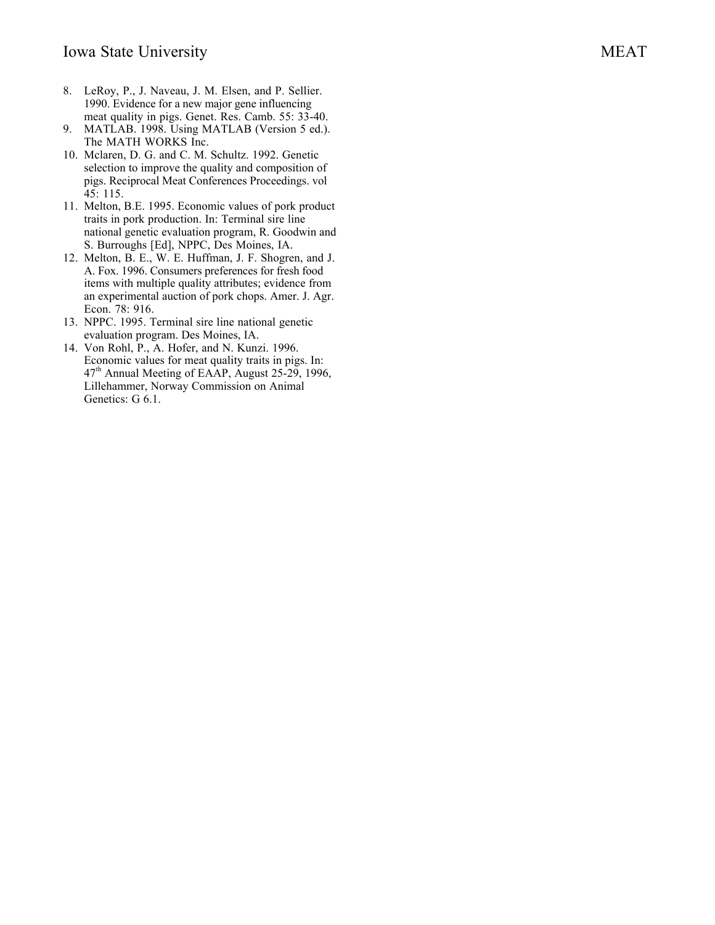- 8. LeRoy, P., J. Naveau, J. M. Elsen, and P. Sellier. 1990. Evidence for a new major gene influencing meat quality in pigs. Genet. Res. Camb. 55: 33-40.
- 9. MATLAB. 1998. Using MATLAB (Version 5 ed.). The MATH WORKS Inc.
- 10. Mclaren, D. G. and C. M. Schultz. 1992. Genetic selection to improve the quality and composition of pigs. Reciprocal Meat Conferences Proceedings. vol 45: 115.
- 11. Melton, B.E. 1995. Economic values of pork product traits in pork production. In: Terminal sire line national genetic evaluation program, R. Goodwin and S. Burroughs [Ed], NPPC, Des Moines, IA.
- 12. Melton, B. E., W. E. Huffman, J. F. Shogren, and J. A. Fox. 1996. Consumers preferences for fresh food items with multiple quality attributes; evidence from an experimental auction of pork chops. Amer. J. Agr. Econ. 78: 916.
- 13. NPPC. 1995. Terminal sire line national genetic evaluation program. Des Moines, IA.
- 14. Von Rohl, P., A. Hofer, and N. Kunzi. 1996. Economic values for meat quality traits in pigs. In: 47<sup>th</sup> Annual Meeting of EAAP, August 25-29, 1996, Lillehammer, Norway Commission on Animal Genetics: G 6.1.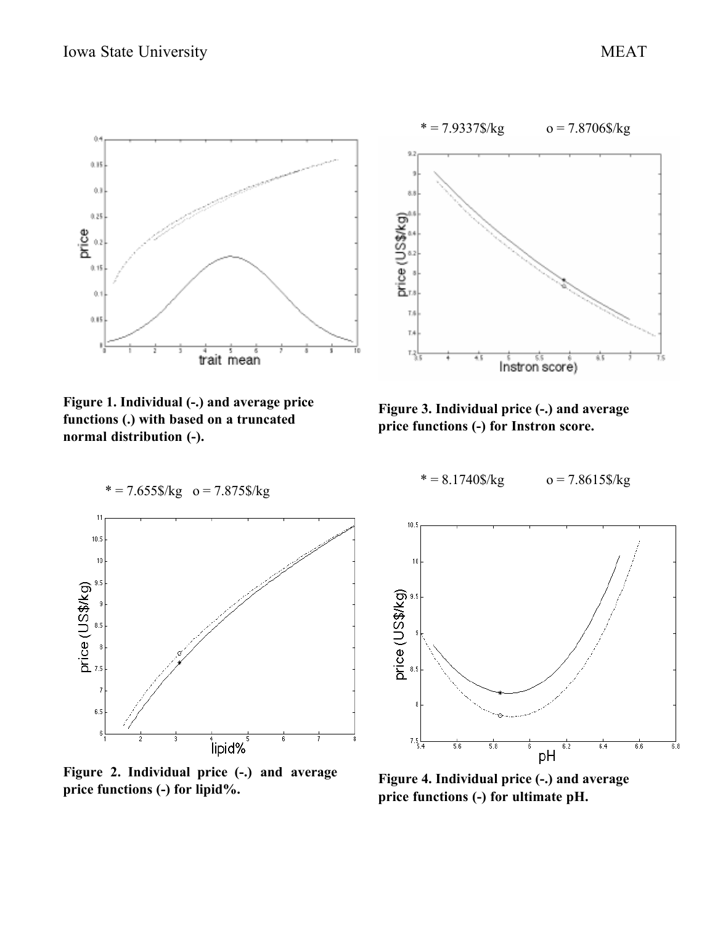

**Figure 1. Individual (-.) and average price functions (.) with based on a truncated normal distribution (-).**

 $* = 7.655$ \$/kg o = 7.875\$/kg



**Figure 3. Individual price (-.) and average price functions (-) for Instron score.**

$$
* = 8.1740
$$
%/kg  $o = 7.8615$ %kg



**Figure 2. Individual price (-.) and average price functions (-) for lipid%.**



**Figure 4. Individual price (-.) and average price functions (-) for ultimate pH.**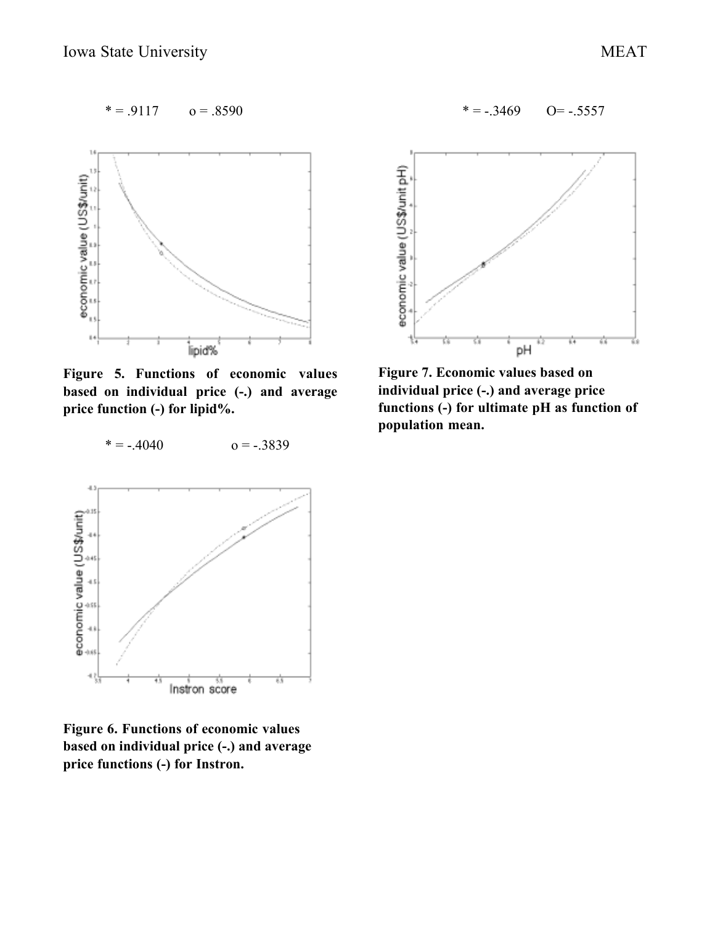$* = .9117$   $o = .8590$ 



**Figure 5. Functions of economic values based on individual price (-.) and average price function (-) for lipid%.**

 $* = -.4040$   $o = -.3839$ 



 $* = -.3469$  O=  $-.5557$ 

**Figure 7. Economic values based on individual price (-.) and average price functions (-) for ultimate pH as function of population mean.**



**Figure 6. Functions of economic values based on individual price (-.) and average price functions (-) for Instron.**